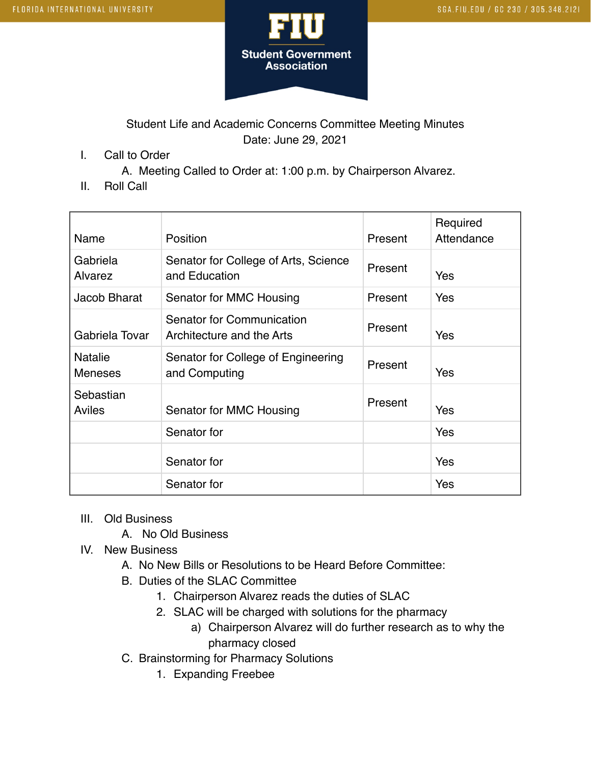

Student Life and Academic Concerns Committee Meeting Minutes Date: June 29, 2021

I. Call to Order

A. Meeting Called to Order at: 1:00 p.m. by Chairperson Alvarez.

II. Roll Call

| Name                             | Position                                               | Present | Required<br>Attendance |
|----------------------------------|--------------------------------------------------------|---------|------------------------|
| Gabriela<br>Alvarez              | Senator for College of Arts, Science<br>and Education  | Present | Yes                    |
| Jacob Bharat                     | Senator for MMC Housing                                | Present | Yes                    |
| Gabriela Tovar                   | Senator for Communication<br>Architecture and the Arts | Present | Yes                    |
| <b>Natalie</b><br><b>Meneses</b> | Senator for College of Engineering<br>and Computing    | Present | Yes                    |
| Sebastian<br>Aviles              | Senator for MMC Housing                                | Present | Yes                    |
|                                  | Senator for                                            |         | Yes                    |
|                                  | Senator for                                            |         | Yes                    |
|                                  | Senator for                                            |         | Yes                    |

- III. Old Business
	- A. No Old Business
- IV. New Business
	- A. No New Bills or Resolutions to be Heard Before Committee:
	- B. Duties of the SLAC Committee
		- 1. Chairperson Alvarez reads the duties of SLAC
		- 2. SLAC will be charged with solutions for the pharmacy
			- a) Chairperson Alvarez will do further research as to why the pharmacy closed
	- C. Brainstorming for Pharmacy Solutions
		- 1. Expanding Freebee